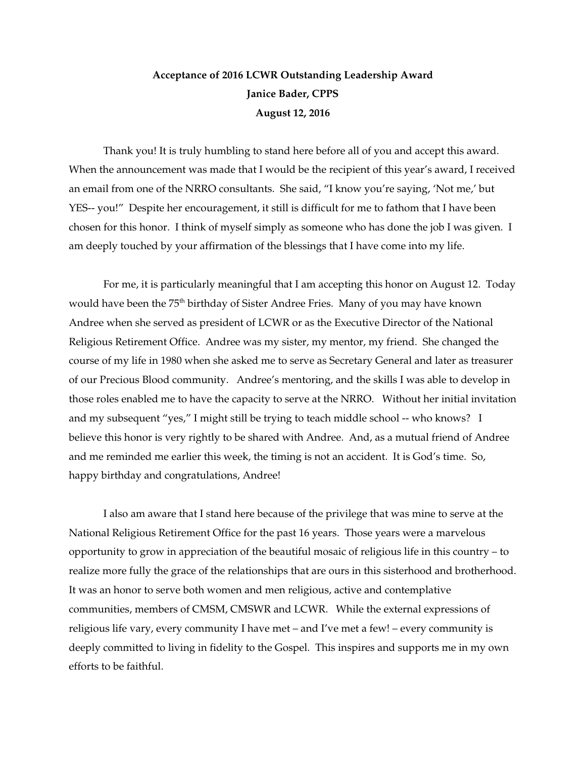## **Acceptance of 2016 LCWR Outstanding Leadership Award Janice Bader, CPPS August 12, 2016**

Thank you! It is truly humbling to stand here before all of you and accept this award. When the announcement was made that I would be the recipient of this year's award, I received an email from one of the NRRO consultants. She said, "I know you're saying, 'Not me,' but YES-- you!" Despite her encouragement, it still is difficult for me to fathom that I have been chosen for this honor. I think of myself simply as someone who has done the job I was given. I am deeply touched by your affirmation of the blessings that I have come into my life.

 For me, it is particularly meaningful that I am accepting this honor on August 12. Today would have been the 75<sup>th</sup> birthday of Sister Andree Fries. Many of you may have known Andree when she served as president of LCWR or as the Executive Director of the National Religious Retirement Office. Andree was my sister, my mentor, my friend. She changed the course of my life in 1980 when she asked me to serve as Secretary General and later as treasurer of our Precious Blood community. Andree's mentoring, and the skills I was able to develop in those roles enabled me to have the capacity to serve at the NRRO. Without her initial invitation and my subsequent "yes," I might still be trying to teach middle school -- who knows? I believe this honor is very rightly to be shared with Andree. And, as a mutual friend of Andree and me reminded me earlier this week, the timing is not an accident. It is God's time. So, happy birthday and congratulations, Andree!

 I also am aware that I stand here because of the privilege that was mine to serve at the National Religious Retirement Office for the past 16 years. Those years were a marvelous opportunity to grow in appreciation of the beautiful mosaic of religious life in this country – to realize more fully the grace of the relationships that are ours in this sisterhood and brotherhood. It was an honor to serve both women and men religious, active and contemplative communities, members of CMSM, CMSWR and LCWR. While the external expressions of religious life vary, every community I have met – and I've met a few! – every community is deeply committed to living in fidelity to the Gospel. This inspires and supports me in my own efforts to be faithful.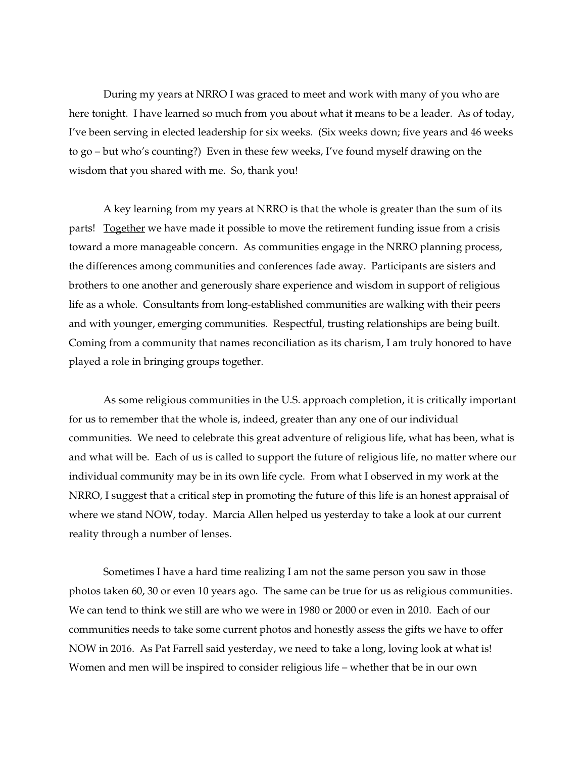During my years at NRRO I was graced to meet and work with many of you who are here tonight. I have learned so much from you about what it means to be a leader. As of today, I've been serving in elected leadership for six weeks. (Six weeks down; five years and 46 weeks to go – but who's counting?) Even in these few weeks, I've found myself drawing on the wisdom that you shared with me. So, thank you!

 A key learning from my years at NRRO is that the whole is greater than the sum of its parts! Together we have made it possible to move the retirement funding issue from a crisis toward a more manageable concern. As communities engage in the NRRO planning process, the differences among communities and conferences fade away. Participants are sisters and brothers to one another and generously share experience and wisdom in support of religious life as a whole. Consultants from long-established communities are walking with their peers and with younger, emerging communities. Respectful, trusting relationships are being built. Coming from a community that names reconciliation as its charism, I am truly honored to have played a role in bringing groups together.

 As some religious communities in the U.S. approach completion, it is critically important for us to remember that the whole is, indeed, greater than any one of our individual communities. We need to celebrate this great adventure of religious life, what has been, what is and what will be. Each of us is called to support the future of religious life, no matter where our individual community may be in its own life cycle. From what I observed in my work at the NRRO, I suggest that a critical step in promoting the future of this life is an honest appraisal of where we stand NOW, today. Marcia Allen helped us yesterday to take a look at our current reality through a number of lenses.

 Sometimes I have a hard time realizing I am not the same person you saw in those photos taken 60, 30 or even 10 years ago. The same can be true for us as religious communities. We can tend to think we still are who we were in 1980 or 2000 or even in 2010. Each of our communities needs to take some current photos and honestly assess the gifts we have to offer NOW in 2016. As Pat Farrell said yesterday, we need to take a long, loving look at what is! Women and men will be inspired to consider religious life – whether that be in our own